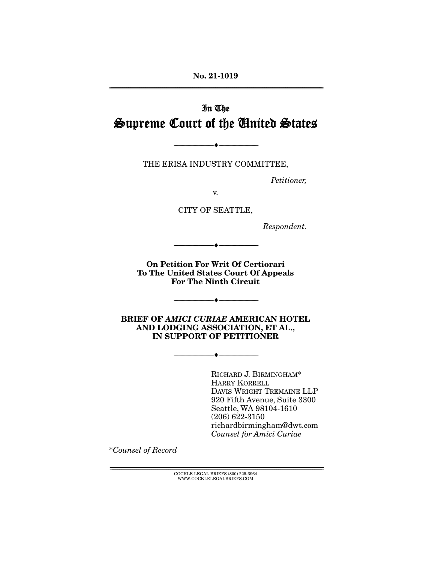**No. 21-1019**  ================================================================================================================

# In The Supreme Court of the United States

THE ERISA INDUSTRY COMMITTEE,

--------------------------------- ♦ ---------------------------------

Petitioner,

v.

CITY OF SEATTLE,

Respondent.

**On Petition For Writ Of Certiorari To The United States Court Of Appeals For The Ninth Circuit** 

 $\bullet$   $-$ 

--------------------------------- ♦ ---------------------------------

**BRIEF OF** *AMICI CURIAE* **AMERICAN HOTEL AND LODGING ASSOCIATION, ET AL., IN SUPPORT OF PETITIONER** 

--------------------------------- ♦ ---------------------------------

RICHARD J. BIRMINGHAM\* HARRY KORRELL DAVIS WRIGHT TREMAINE LLP 920 Fifth Avenue, Suite 3300 Seattle, WA 98104-1610 (206) 622-3150 richardbirmingham@dwt.com Counsel for Amici Curiae

\*Counsel of Record

 ${ \rm COCKLE}$  LEGAL BRIEFS (800) 225-6964 WWW.COCKLELEGALBRIEFS.COM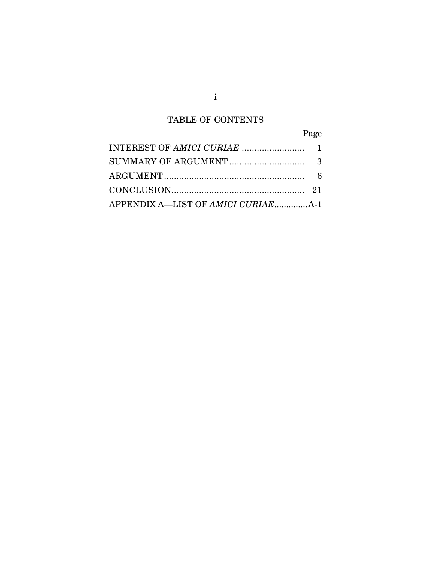## TABLE OF CONTENTS

|                                            | Page |
|--------------------------------------------|------|
|                                            |      |
|                                            |      |
|                                            |      |
|                                            |      |
| APPENDIX A—LIST OF <i>AMICI CURIAE</i> A-1 |      |

i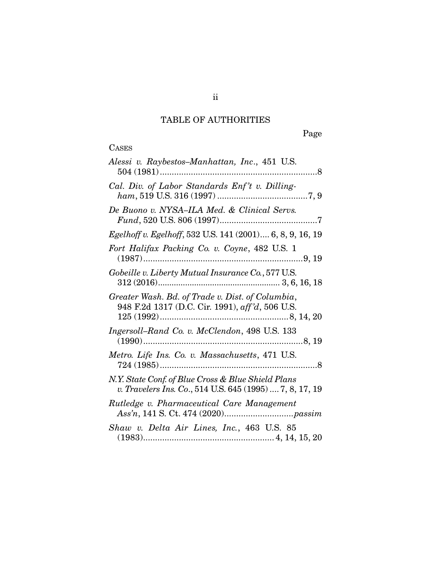# TABLE OF AUTHORITIES

Page

# **CASES**

| Alessi v. Raybestos-Manhattan, Inc., 451 U.S.                                                                  |
|----------------------------------------------------------------------------------------------------------------|
| Cal. Div. of Labor Standards Enf't v. Dilling-                                                                 |
| De Buono v. NYSA-ILA Med. & Clinical Servs.                                                                    |
| Egelhoff v. Egelhoff, 532 U.S. 141 (2001) 6, 8, 9, 16, 19                                                      |
| Fort Halifax Packing Co. v. Coyne, 482 U.S. 1                                                                  |
| Gobeille v. Liberty Mutual Insurance Co., 577 U.S.                                                             |
| Greater Wash. Bd. of Trade v. Dist. of Columbia,<br>948 F.2d 1317 (D.C. Cir. 1991), aff'd, 506 U.S.            |
| Ingersoll-Rand Co. v. McClendon, 498 U.S. 133                                                                  |
| Metro. Life Ins. Co. v. Massachusetts, 471 U.S.                                                                |
| N.Y. State Conf. of Blue Cross & Blue Shield Plans<br>v. Travelers Ins. Co., 514 U.S. 645 (1995)  7, 8, 17, 19 |
| Rutledge v. Pharmaceutical Care Management                                                                     |
| Shaw v. Delta Air Lines, Inc., 463 U.S. 85                                                                     |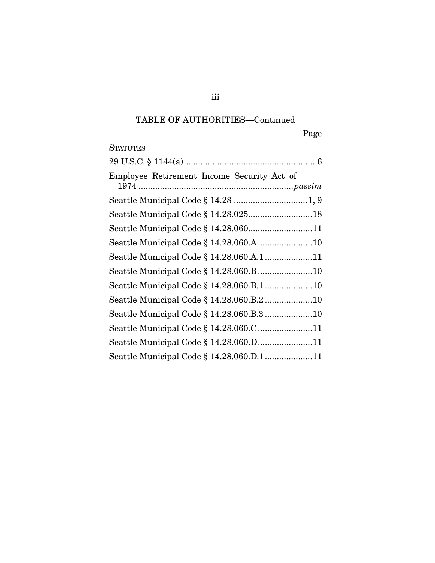## TABLE OF AUTHORITIES—Continued

Page

## **STATUTES**

| Employee Retirement Income Security Act of |  |
|--------------------------------------------|--|
|                                            |  |
|                                            |  |
|                                            |  |
|                                            |  |
| Seattle Municipal Code § 14.28.060.A.111   |  |
|                                            |  |
|                                            |  |
| Seattle Municipal Code § 14.28.060.B.210   |  |
| Seattle Municipal Code § 14.28.060.B.3 10  |  |
| Seattle Municipal Code § 14.28.060.C 11    |  |
| Seattle Municipal Code § 14.28.060.D11     |  |
| Seattle Municipal Code § 14.28.060.D.111   |  |

iii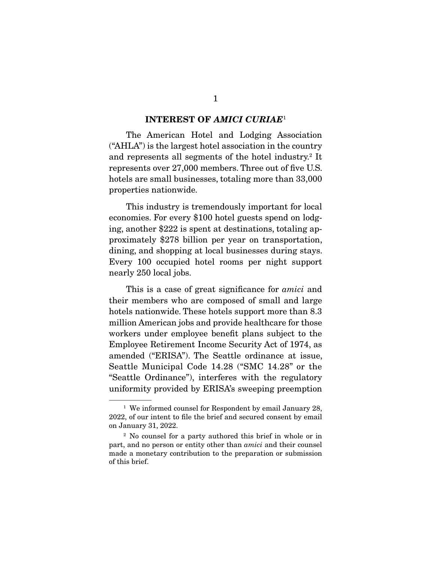#### **INTEREST OF** *AMICI CURIAE*<sup>1</sup>

The American Hotel and Lodging Association ("AHLA") is the largest hotel association in the country and represents all segments of the hotel industry.<sup>2</sup> It represents over 27,000 members. Three out of five U.S. hotels are small businesses, totaling more than 33,000 properties nationwide.

 This industry is tremendously important for local economies. For every \$100 hotel guests spend on lodging, another \$222 is spent at destinations, totaling approximately \$278 billion per year on transportation, dining, and shopping at local businesses during stays. Every 100 occupied hotel rooms per night support nearly 250 local jobs.

This is a case of great significance for *amici* and their members who are composed of small and large hotels nationwide. These hotels support more than 8.3 million American jobs and provide healthcare for those workers under employee benefit plans subject to the Employee Retirement Income Security Act of 1974, as amended ("ERISA"). The Seattle ordinance at issue, Seattle Municipal Code 14.28 ("SMC 14.28" or the "Seattle Ordinance"), interferes with the regulatory uniformity provided by ERISA's sweeping preemption

<sup>&</sup>lt;sup>1</sup> We informed counsel for Respondent by email January 28, 2022, of our intent to file the brief and secured consent by email on January 31, 2022.

<sup>2</sup> No counsel for a party authored this brief in whole or in part, and no person or entity other than amici and their counsel made a monetary contribution to the preparation or submission of this brief.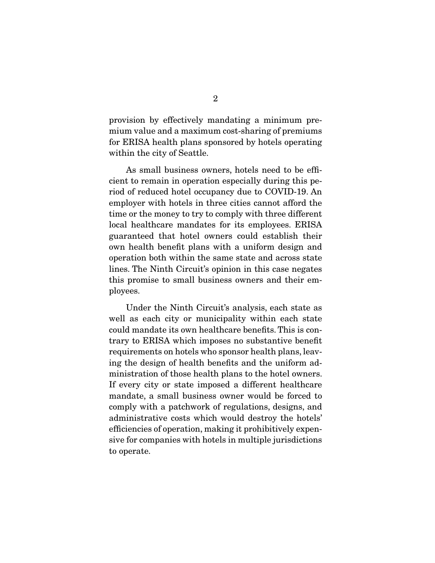provision by effectively mandating a minimum premium value and a maximum cost-sharing of premiums for ERISA health plans sponsored by hotels operating within the city of Seattle.

 As small business owners, hotels need to be efficient to remain in operation especially during this period of reduced hotel occupancy due to COVID-19. An employer with hotels in three cities cannot afford the time or the money to try to comply with three different local healthcare mandates for its employees. ERISA guaranteed that hotel owners could establish their own health benefit plans with a uniform design and operation both within the same state and across state lines. The Ninth Circuit's opinion in this case negates this promise to small business owners and their employees.

 Under the Ninth Circuit's analysis, each state as well as each city or municipality within each state could mandate its own healthcare benefits. This is contrary to ERISA which imposes no substantive benefit requirements on hotels who sponsor health plans, leaving the design of health benefits and the uniform administration of those health plans to the hotel owners. If every city or state imposed a different healthcare mandate, a small business owner would be forced to comply with a patchwork of regulations, designs, and administrative costs which would destroy the hotels' efficiencies of operation, making it prohibitively expensive for companies with hotels in multiple jurisdictions to operate.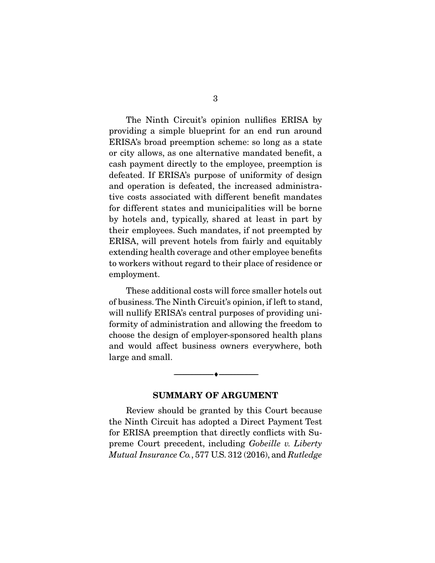The Ninth Circuit's opinion nullifies ERISA by providing a simple blueprint for an end run around ERISA's broad preemption scheme: so long as a state or city allows, as one alternative mandated benefit, a cash payment directly to the employee, preemption is defeated. If ERISA's purpose of uniformity of design and operation is defeated, the increased administrative costs associated with different benefit mandates for different states and municipalities will be borne by hotels and, typically, shared at least in part by their employees. Such mandates, if not preempted by ERISA, will prevent hotels from fairly and equitably extending health coverage and other employee benefits to workers without regard to their place of residence or employment.

 These additional costs will force smaller hotels out of business. The Ninth Circuit's opinion, if left to stand, will nullify ERISA's central purposes of providing uniformity of administration and allowing the freedom to choose the design of employer-sponsored health plans and would affect business owners everywhere, both large and small.

#### **SUMMARY OF ARGUMENT**

 $\overbrace{\hspace{2.5cm}}^{\bullet}$   $\overbrace{\hspace{2.5cm}}^{\bullet}$ 

Review should be granted by this Court because the Ninth Circuit has adopted a Direct Payment Test for ERISA preemption that directly conflicts with Supreme Court precedent, including Gobeille v. Liberty Mutual Insurance Co., 577 U.S. 312 (2016), and Rutledge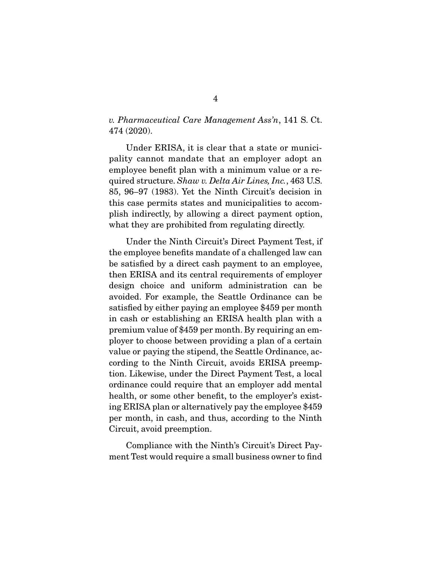v. Pharmaceutical Care Management Ass'n, 141 S. Ct. 474 (2020).

 Under ERISA, it is clear that a state or municipality cannot mandate that an employer adopt an employee benefit plan with a minimum value or a required structure. Shaw v. Delta Air Lines, Inc., 463 U.S. 85, 96–97 (1983). Yet the Ninth Circuit's decision in this case permits states and municipalities to accomplish indirectly, by allowing a direct payment option, what they are prohibited from regulating directly.

 Under the Ninth Circuit's Direct Payment Test, if the employee benefits mandate of a challenged law can be satisfied by a direct cash payment to an employee, then ERISA and its central requirements of employer design choice and uniform administration can be avoided. For example, the Seattle Ordinance can be satisfied by either paying an employee \$459 per month in cash or establishing an ERISA health plan with a premium value of \$459 per month. By requiring an employer to choose between providing a plan of a certain value or paying the stipend, the Seattle Ordinance, according to the Ninth Circuit, avoids ERISA preemption. Likewise, under the Direct Payment Test, a local ordinance could require that an employer add mental health, or some other benefit, to the employer's existing ERISA plan or alternatively pay the employee \$459 per month, in cash, and thus, according to the Ninth Circuit, avoid preemption.

 Compliance with the Ninth's Circuit's Direct Payment Test would require a small business owner to find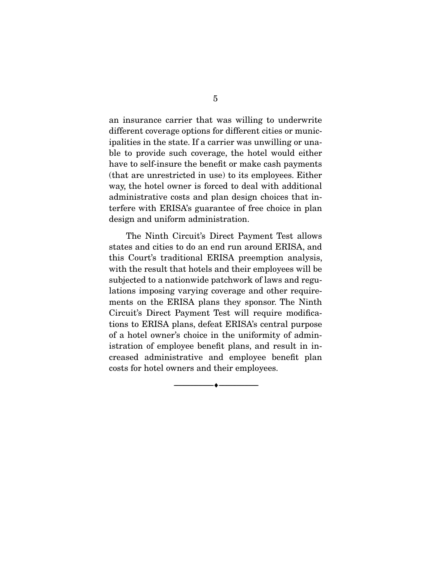an insurance carrier that was willing to underwrite different coverage options for different cities or municipalities in the state. If a carrier was unwilling or unable to provide such coverage, the hotel would either have to self-insure the benefit or make cash payments (that are unrestricted in use) to its employees. Either way, the hotel owner is forced to deal with additional administrative costs and plan design choices that interfere with ERISA's guarantee of free choice in plan design and uniform administration.

 The Ninth Circuit's Direct Payment Test allows states and cities to do an end run around ERISA, and this Court's traditional ERISA preemption analysis, with the result that hotels and their employees will be subjected to a nationwide patchwork of laws and regulations imposing varying coverage and other requirements on the ERISA plans they sponsor. The Ninth Circuit's Direct Payment Test will require modifications to ERISA plans, defeat ERISA's central purpose of a hotel owner's choice in the uniformity of administration of employee benefit plans, and result in increased administrative and employee benefit plan costs for hotel owners and their employees.

 $\overbrace{\hspace{2.5cm}}^{\bullet}$   $\overbrace{\hspace{2.5cm}}^{\bullet}$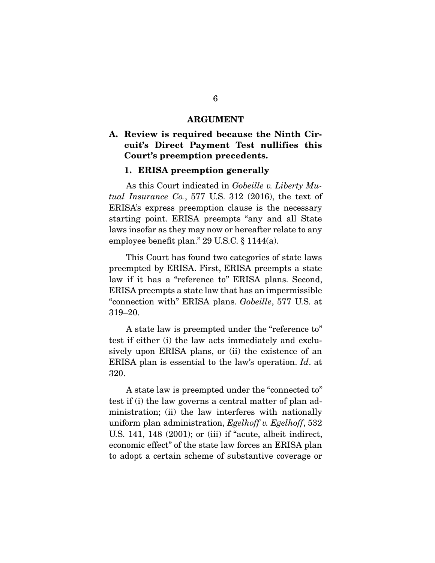#### **ARGUMENT**

## **A. Review is required because the Ninth Circuit's Direct Payment Test nullifies this Court's preemption precedents.**

#### **1. ERISA preemption generally**

As this Court indicated in Gobeille v. Liberty Mutual Insurance Co., 577 U.S. 312 (2016), the text of ERISA's express preemption clause is the necessary starting point. ERISA preempts "any and all State laws insofar as they may now or hereafter relate to any employee benefit plan." 29 U.S.C. § 1144(a).

 This Court has found two categories of state laws preempted by ERISA. First, ERISA preempts a state law if it has a "reference to" ERISA plans. Second, ERISA preempts a state law that has an impermissible "connection with" ERISA plans. Gobeille, 577 U.S. at 319–20.

 A state law is preempted under the "reference to" test if either (i) the law acts immediately and exclusively upon ERISA plans, or (ii) the existence of an ERISA plan is essential to the law's operation. Id. at 320.

 A state law is preempted under the "connected to" test if (i) the law governs a central matter of plan administration; (ii) the law interferes with nationally uniform plan administration, Egelhoff v. Egelhoff, 532 U.S. 141, 148 (2001); or (iii) if "acute, albeit indirect, economic effect" of the state law forces an ERISA plan to adopt a certain scheme of substantive coverage or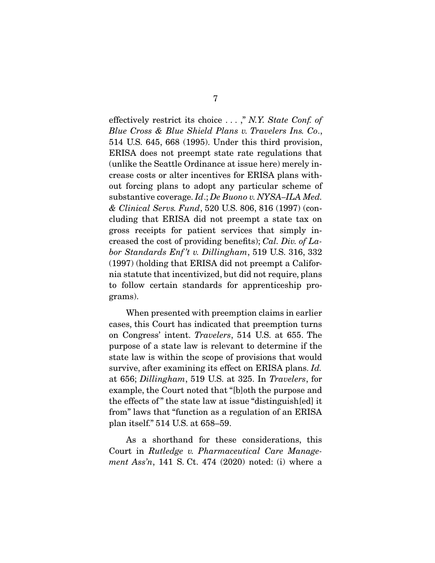effectively restrict its choice . . . ," N.Y. State Conf. of Blue Cross & Blue Shield Plans v. Travelers Ins. Co., 514 U.S. 645, 668 (1995). Under this third provision, ERISA does not preempt state rate regulations that (unlike the Seattle Ordinance at issue here) merely increase costs or alter incentives for ERISA plans without forcing plans to adopt any particular scheme of substantive coverage. Id.; De Buono v. NYSA–ILA Med. & Clinical Servs. Fund, 520 U.S. 806, 816 (1997) (concluding that ERISA did not preempt a state tax on gross receipts for patient services that simply increased the cost of providing benefits); Cal. Div. of Labor Standards Enf 't v. Dillingham, 519 U.S. 316, 332 (1997) (holding that ERISA did not preempt a California statute that incentivized, but did not require, plans to follow certain standards for apprenticeship programs).

 When presented with preemption claims in earlier cases, this Court has indicated that preemption turns on Congress' intent. Travelers, 514 U.S. at 655. The purpose of a state law is relevant to determine if the state law is within the scope of provisions that would survive, after examining its effect on ERISA plans. *Id.* at 656; Dillingham, 519 U.S. at 325. In Travelers, for example, the Court noted that "[b]oth the purpose and the effects of " the state law at issue "distinguish[ed] it from" laws that "function as a regulation of an ERISA plan itself." 514 U.S. at 658–59.

 As a shorthand for these considerations, this Court in Rutledge v. Pharmaceutical Care Management Ass'n, 141 S. Ct. 474 (2020) noted: (i) where a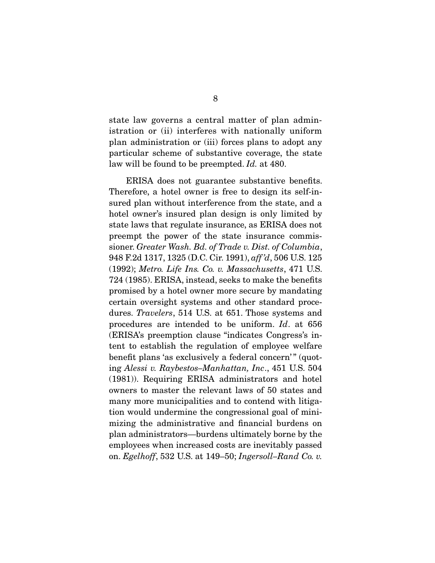state law governs a central matter of plan administration or (ii) interferes with nationally uniform plan administration or (iii) forces plans to adopt any particular scheme of substantive coverage, the state law will be found to be preempted. Id. at 480.

 ERISA does not guarantee substantive benefits. Therefore, a hotel owner is free to design its self-insured plan without interference from the state, and a hotel owner's insured plan design is only limited by state laws that regulate insurance, as ERISA does not preempt the power of the state insurance commissioner. Greater Wash. Bd. of Trade v. Dist. of Columbia, 948 F.2d 1317, 1325 (D.C. Cir. 1991), aff 'd, 506 U.S. 125 (1992); Metro. Life Ins. Co. v. Massachusetts, 471 U.S. 724 (1985). ERISA, instead, seeks to make the benefits promised by a hotel owner more secure by mandating certain oversight systems and other standard procedures. Travelers, 514 U.S. at 651. Those systems and procedures are intended to be uniform. Id. at 656 (ERISA's preemption clause "indicates Congress's intent to establish the regulation of employee welfare benefit plans 'as exclusively a federal concern'" (quoting Alessi v. Raybestos–Manhattan, Inc., 451 U.S. 504 (1981)). Requiring ERISA administrators and hotel owners to master the relevant laws of 50 states and many more municipalities and to contend with litigation would undermine the congressional goal of minimizing the administrative and financial burdens on plan administrators—burdens ultimately borne by the employees when increased costs are inevitably passed on. Egelhoff, 532 U.S. at 149–50; Ingersoll–Rand Co. v.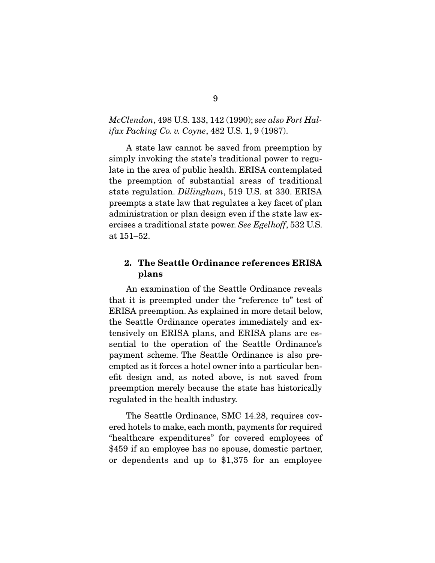### McClendon, 498 U.S. 133, 142 (1990); see also Fort Halifax Packing Co. v. Coyne, 482 U.S. 1, 9 (1987).

 A state law cannot be saved from preemption by simply invoking the state's traditional power to regulate in the area of public health. ERISA contemplated the preemption of substantial areas of traditional state regulation. Dillingham, 519 U.S. at 330. ERISA preempts a state law that regulates a key facet of plan administration or plan design even if the state law exercises a traditional state power. See Egelhoff, 532 U.S. at 151–52.

## **2. The Seattle Ordinance references ERISA plans**

An examination of the Seattle Ordinance reveals that it is preempted under the "reference to" test of ERISA preemption. As explained in more detail below, the Seattle Ordinance operates immediately and extensively on ERISA plans, and ERISA plans are essential to the operation of the Seattle Ordinance's payment scheme. The Seattle Ordinance is also preempted as it forces a hotel owner into a particular benefit design and, as noted above, is not saved from preemption merely because the state has historically regulated in the health industry.

 The Seattle Ordinance, SMC 14.28, requires covered hotels to make, each month, payments for required "healthcare expenditures" for covered employees of \$459 if an employee has no spouse, domestic partner, or dependents and up to \$1,375 for an employee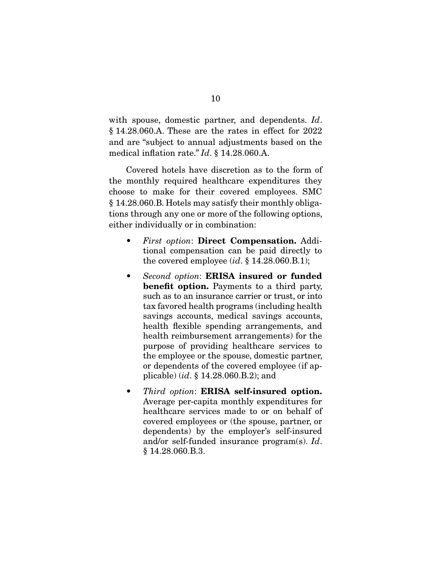with spouse, domestic partner, and dependents. Id. § 14.28.060.A. These are the rates in effect for 2022 and are "subject to annual adjustments based on the medical inflation rate." Id. § 14.28.060.A.

 Covered hotels have discretion as to the form of the monthly required healthcare expenditures they choose to make for their covered employees. SMC § 14.28.060.B. Hotels may satisfy their monthly obligations through any one or more of the following options, either individually or in combination:

- First option: **Direct Compensation.** Additional compensation can be paid directly to the covered employee  $(id, \S 14.28.060.B.1);$
- Second option: **ERISA insured or funded benefit option.** Payments to a third party, such as to an insurance carrier or trust, or into tax favored health programs (including health savings accounts, medical savings accounts, health flexible spending arrangements, and health reimbursement arrangements) for the purpose of providing healthcare services to the employee or the spouse, domestic partner, or dependents of the covered employee (if applicable) (id. § 14.28.060.B.2); and
- Third option: **ERISA self-insured option.** Average per-capita monthly expenditures for healthcare services made to or on behalf of covered employees or (the spouse, partner, or dependents) by the employer's self-insured and/or self-funded insurance program(s). Id. § 14.28.060.B.3.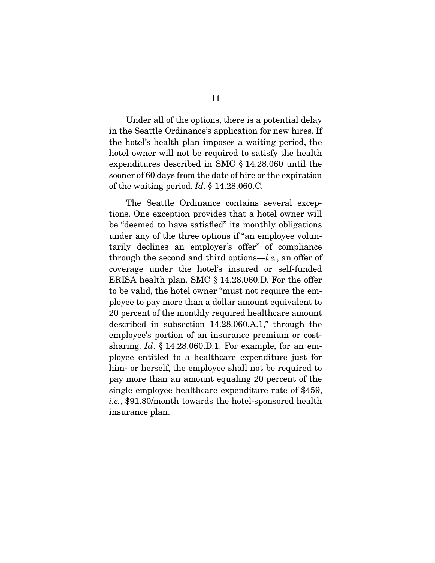Under all of the options, there is a potential delay in the Seattle Ordinance's application for new hires. If the hotel's health plan imposes a waiting period, the hotel owner will not be required to satisfy the health expenditures described in SMC § 14.28.060 until the sooner of 60 days from the date of hire or the expiration of the waiting period. Id. § 14.28.060.C.

 The Seattle Ordinance contains several exceptions. One exception provides that a hotel owner will be "deemed to have satisfied" its monthly obligations under any of the three options if "an employee voluntarily declines an employer's offer" of compliance through the second and third options—i.e., an offer of coverage under the hotel's insured or self-funded ERISA health plan. SMC § 14.28.060.D. For the offer to be valid, the hotel owner "must not require the employee to pay more than a dollar amount equivalent to 20 percent of the monthly required healthcare amount described in subsection 14.28.060.A.1," through the employee's portion of an insurance premium or costsharing. Id.  $\S$  14.28.060.D.1. For example, for an employee entitled to a healthcare expenditure just for him- or herself, the employee shall not be required to pay more than an amount equaling 20 percent of the single employee healthcare expenditure rate of \$459, i.e., \$91.80/month towards the hotel-sponsored health insurance plan.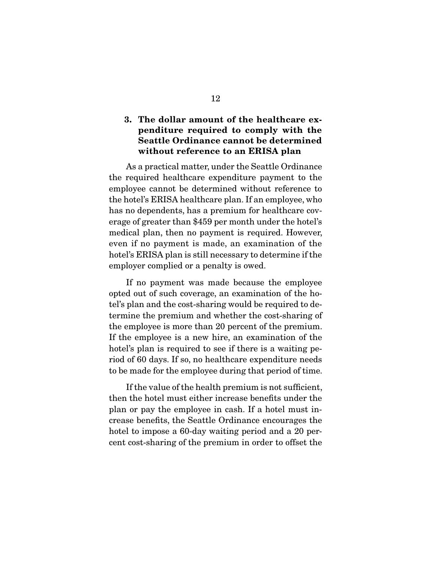## **3. The dollar amount of the healthcare expenditure required to comply with the Seattle Ordinance cannot be determined without reference to an ERISA plan**

As a practical matter, under the Seattle Ordinance the required healthcare expenditure payment to the employee cannot be determined without reference to the hotel's ERISA healthcare plan. If an employee, who has no dependents, has a premium for healthcare coverage of greater than \$459 per month under the hotel's medical plan, then no payment is required. However, even if no payment is made, an examination of the hotel's ERISA plan is still necessary to determine if the employer complied or a penalty is owed.

 If no payment was made because the employee opted out of such coverage, an examination of the hotel's plan and the cost-sharing would be required to determine the premium and whether the cost-sharing of the employee is more than 20 percent of the premium. If the employee is a new hire, an examination of the hotel's plan is required to see if there is a waiting period of 60 days. If so, no healthcare expenditure needs to be made for the employee during that period of time.

 If the value of the health premium is not sufficient, then the hotel must either increase benefits under the plan or pay the employee in cash. If a hotel must increase benefits, the Seattle Ordinance encourages the hotel to impose a 60-day waiting period and a 20 percent cost-sharing of the premium in order to offset the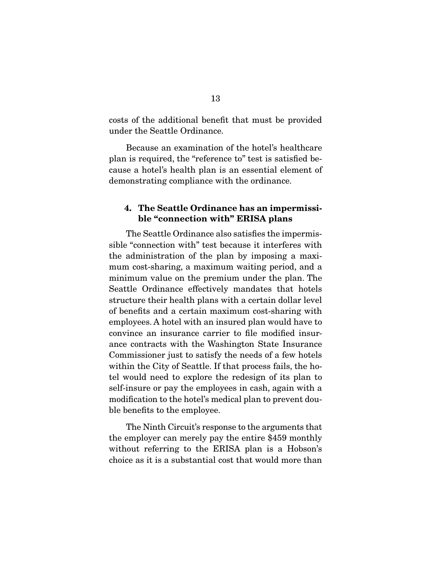costs of the additional benefit that must be provided under the Seattle Ordinance.

 Because an examination of the hotel's healthcare plan is required, the "reference to" test is satisfied because a hotel's health plan is an essential element of demonstrating compliance with the ordinance.

## **4. The Seattle Ordinance has an impermissible "connection with" ERISA plans**

The Seattle Ordinance also satisfies the impermissible "connection with" test because it interferes with the administration of the plan by imposing a maximum cost-sharing, a maximum waiting period, and a minimum value on the premium under the plan. The Seattle Ordinance effectively mandates that hotels structure their health plans with a certain dollar level of benefits and a certain maximum cost-sharing with employees. A hotel with an insured plan would have to convince an insurance carrier to file modified insurance contracts with the Washington State Insurance Commissioner just to satisfy the needs of a few hotels within the City of Seattle. If that process fails, the hotel would need to explore the redesign of its plan to self-insure or pay the employees in cash, again with a modification to the hotel's medical plan to prevent double benefits to the employee.

 The Ninth Circuit's response to the arguments that the employer can merely pay the entire \$459 monthly without referring to the ERISA plan is a Hobson's choice as it is a substantial cost that would more than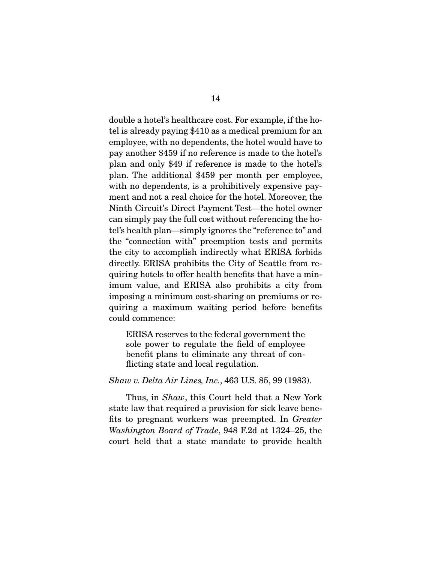double a hotel's healthcare cost. For example, if the hotel is already paying \$410 as a medical premium for an employee, with no dependents, the hotel would have to pay another \$459 if no reference is made to the hotel's plan and only \$49 if reference is made to the hotel's plan. The additional \$459 per month per employee, with no dependents, is a prohibitively expensive payment and not a real choice for the hotel. Moreover, the Ninth Circuit's Direct Payment Test—the hotel owner can simply pay the full cost without referencing the hotel's health plan—simply ignores the "reference to" and the "connection with" preemption tests and permits the city to accomplish indirectly what ERISA forbids directly. ERISA prohibits the City of Seattle from requiring hotels to offer health benefits that have a minimum value, and ERISA also prohibits a city from imposing a minimum cost-sharing on premiums or requiring a maximum waiting period before benefits could commence:

ERISA reserves to the federal government the sole power to regulate the field of employee benefit plans to eliminate any threat of conflicting state and local regulation.

#### Shaw v. Delta Air Lines, Inc., 463 U.S. 85, 99 (1983).

Thus, in *Shaw*, this Court held that a New York state law that required a provision for sick leave benefits to pregnant workers was preempted. In Greater Washington Board of Trade, 948 F.2d at 1324–25, the court held that a state mandate to provide health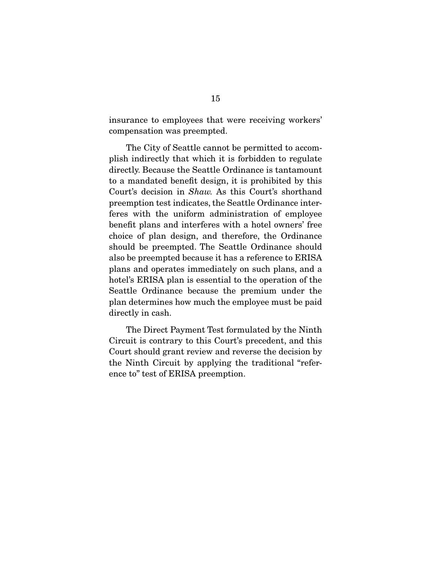insurance to employees that were receiving workers' compensation was preempted.

 The City of Seattle cannot be permitted to accomplish indirectly that which it is forbidden to regulate directly. Because the Seattle Ordinance is tantamount to a mandated benefit design, it is prohibited by this Court's decision in Shaw. As this Court's shorthand preemption test indicates, the Seattle Ordinance interferes with the uniform administration of employee benefit plans and interferes with a hotel owners' free choice of plan design, and therefore, the Ordinance should be preempted. The Seattle Ordinance should also be preempted because it has a reference to ERISA plans and operates immediately on such plans, and a hotel's ERISA plan is essential to the operation of the Seattle Ordinance because the premium under the plan determines how much the employee must be paid directly in cash.

 The Direct Payment Test formulated by the Ninth Circuit is contrary to this Court's precedent, and this Court should grant review and reverse the decision by the Ninth Circuit by applying the traditional "reference to" test of ERISA preemption.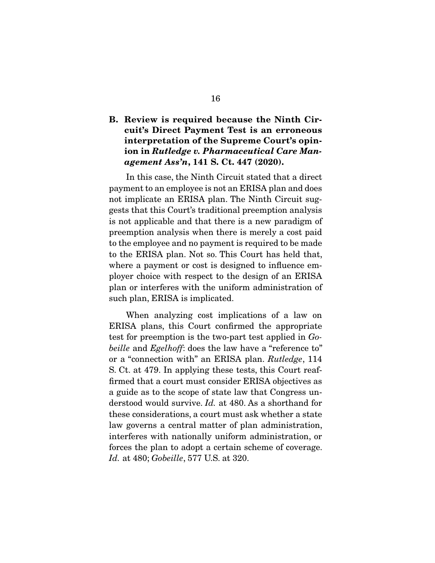## **B. Review is required because the Ninth Circuit's Direct Payment Test is an erroneous interpretation of the Supreme Court's opinion in** *Rutledge v. Pharmaceutical Care Management Ass'n***, 141 S. Ct. 447 (2020).**

In this case, the Ninth Circuit stated that a direct payment to an employee is not an ERISA plan and does not implicate an ERISA plan. The Ninth Circuit suggests that this Court's traditional preemption analysis is not applicable and that there is a new paradigm of preemption analysis when there is merely a cost paid to the employee and no payment is required to be made to the ERISA plan. Not so. This Court has held that, where a payment or cost is designed to influence employer choice with respect to the design of an ERISA plan or interferes with the uniform administration of such plan, ERISA is implicated.

 When analyzing cost implications of a law on ERISA plans, this Court confirmed the appropriate test for preemption is the two-part test applied in Gobeille and Egelhoff: does the law have a "reference to" or a "connection with" an ERISA plan. Rutledge, 114 S. Ct. at 479. In applying these tests, this Court reaffirmed that a court must consider ERISA objectives as a guide as to the scope of state law that Congress understood would survive. Id. at 480. As a shorthand for these considerations, a court must ask whether a state law governs a central matter of plan administration, interferes with nationally uniform administration, or forces the plan to adopt a certain scheme of coverage. Id. at 480; Gobeille, 577 U.S. at 320.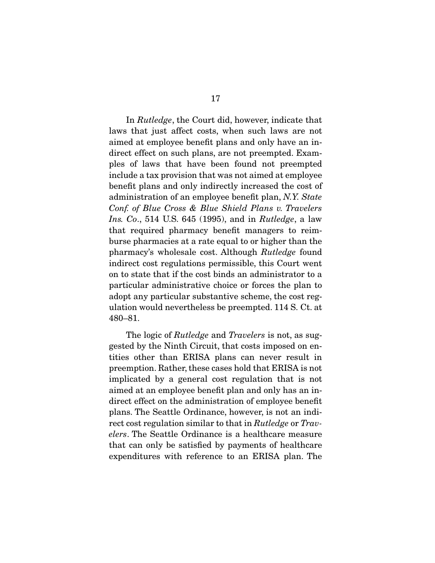In Rutledge, the Court did, however, indicate that laws that just affect costs, when such laws are not aimed at employee benefit plans and only have an indirect effect on such plans, are not preempted. Examples of laws that have been found not preempted include a tax provision that was not aimed at employee benefit plans and only indirectly increased the cost of administration of an employee benefit plan, N.Y. State Conf. of Blue Cross & Blue Shield Plans v. Travelers Ins. Co., 514 U.S. 645 (1995), and in *Rutledge*, a law that required pharmacy benefit managers to reimburse pharmacies at a rate equal to or higher than the pharmacy's wholesale cost. Although Rutledge found indirect cost regulations permissible, this Court went on to state that if the cost binds an administrator to a particular administrative choice or forces the plan to adopt any particular substantive scheme, the cost regulation would nevertheless be preempted. 114 S. Ct. at 480–81.

The logic of *Rutledge* and *Travelers* is not, as suggested by the Ninth Circuit, that costs imposed on entities other than ERISA plans can never result in preemption. Rather, these cases hold that ERISA is not implicated by a general cost regulation that is not aimed at an employee benefit plan and only has an indirect effect on the administration of employee benefit plans. The Seattle Ordinance, however, is not an indirect cost regulation similar to that in Rutledge or Travelers. The Seattle Ordinance is a healthcare measure that can only be satisfied by payments of healthcare expenditures with reference to an ERISA plan. The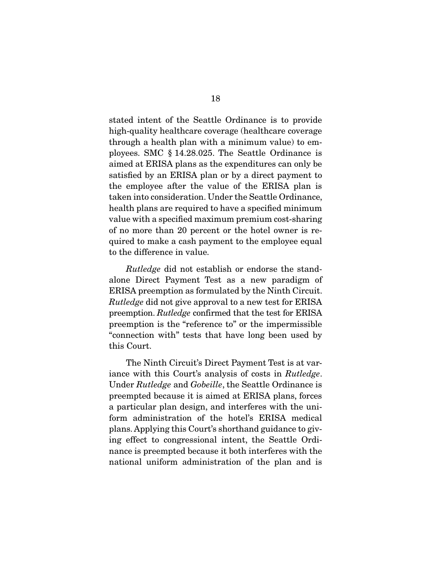stated intent of the Seattle Ordinance is to provide high-quality healthcare coverage (healthcare coverage through a health plan with a minimum value) to employees. SMC § 14.28.025. The Seattle Ordinance is aimed at ERISA plans as the expenditures can only be satisfied by an ERISA plan or by a direct payment to the employee after the value of the ERISA plan is taken into consideration. Under the Seattle Ordinance, health plans are required to have a specified minimum value with a specified maximum premium cost-sharing of no more than 20 percent or the hotel owner is required to make a cash payment to the employee equal to the difference in value.

Rutledge did not establish or endorse the standalone Direct Payment Test as a new paradigm of ERISA preemption as formulated by the Ninth Circuit. Rutledge did not give approval to a new test for ERISA preemption. Rutledge confirmed that the test for ERISA preemption is the "reference to" or the impermissible "connection with" tests that have long been used by this Court.

 The Ninth Circuit's Direct Payment Test is at variance with this Court's analysis of costs in Rutledge. Under Rutledge and Gobeille, the Seattle Ordinance is preempted because it is aimed at ERISA plans, forces a particular plan design, and interferes with the uniform administration of the hotel's ERISA medical plans. Applying this Court's shorthand guidance to giving effect to congressional intent, the Seattle Ordinance is preempted because it both interferes with the national uniform administration of the plan and is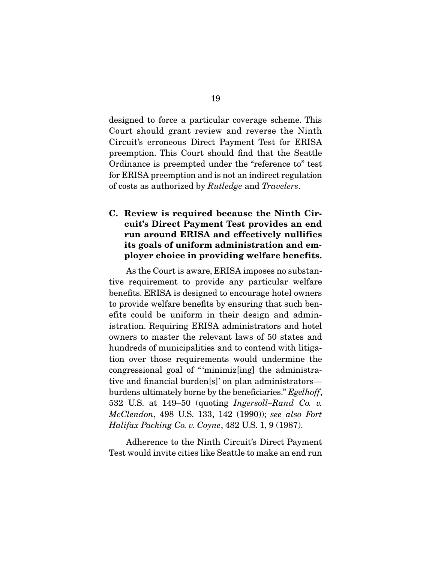designed to force a particular coverage scheme. This Court should grant review and reverse the Ninth Circuit's erroneous Direct Payment Test for ERISA preemption. This Court should find that the Seattle Ordinance is preempted under the "reference to" test for ERISA preemption and is not an indirect regulation of costs as authorized by Rutledge and Travelers.

## **C. Review is required because the Ninth Circuit's Direct Payment Test provides an end run around ERISA and effectively nullifies its goals of uniform administration and employer choice in providing welfare benefits.**

As the Court is aware, ERISA imposes no substantive requirement to provide any particular welfare benefits. ERISA is designed to encourage hotel owners to provide welfare benefits by ensuring that such benefits could be uniform in their design and administration. Requiring ERISA administrators and hotel owners to master the relevant laws of 50 states and hundreds of municipalities and to contend with litigation over those requirements would undermine the congressional goal of " 'minimiz[ing] the administrative and financial burden[s]' on plan administrators burdens ultimately borne by the beneficiaries." Egelhoff, 532 U.S. at 149–50 (quoting Ingersoll–Rand Co. v. McClendon, 498 U.S. 133, 142 (1990)); see also Fort Halifax Packing Co. v. Coyne, 482 U.S. 1, 9 (1987).

 Adherence to the Ninth Circuit's Direct Payment Test would invite cities like Seattle to make an end run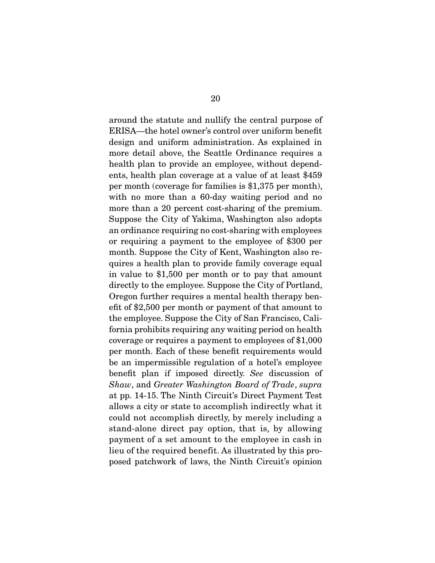around the statute and nullify the central purpose of ERISA—the hotel owner's control over uniform benefit design and uniform administration. As explained in more detail above, the Seattle Ordinance requires a health plan to provide an employee, without dependents, health plan coverage at a value of at least \$459 per month (coverage for families is \$1,375 per month), with no more than a 60-day waiting period and no more than a 20 percent cost-sharing of the premium. Suppose the City of Yakima, Washington also adopts an ordinance requiring no cost-sharing with employees or requiring a payment to the employee of \$300 per month. Suppose the City of Kent, Washington also requires a health plan to provide family coverage equal in value to \$1,500 per month or to pay that amount directly to the employee. Suppose the City of Portland, Oregon further requires a mental health therapy benefit of \$2,500 per month or payment of that amount to the employee. Suppose the City of San Francisco, California prohibits requiring any waiting period on health coverage or requires a payment to employees of \$1,000 per month. Each of these benefit requirements would be an impermissible regulation of a hotel's employee benefit plan if imposed directly. See discussion of Shaw, and Greater Washington Board of Trade, supra at pp. 14-15. The Ninth Circuit's Direct Payment Test allows a city or state to accomplish indirectly what it could not accomplish directly, by merely including a stand-alone direct pay option, that is, by allowing payment of a set amount to the employee in cash in lieu of the required benefit. As illustrated by this proposed patchwork of laws, the Ninth Circuit's opinion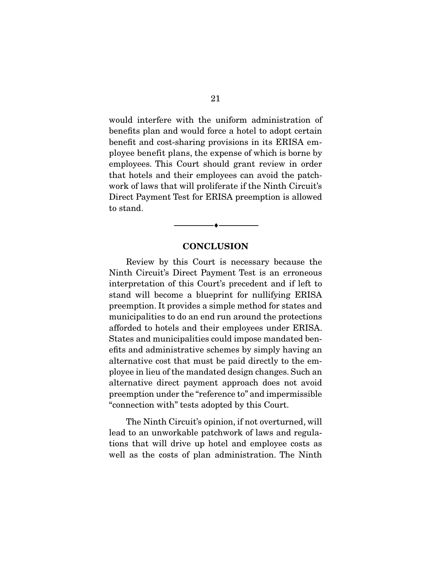would interfere with the uniform administration of benefits plan and would force a hotel to adopt certain benefit and cost-sharing provisions in its ERISA employee benefit plans, the expense of which is borne by employees. This Court should grant review in order that hotels and their employees can avoid the patchwork of laws that will proliferate if the Ninth Circuit's Direct Payment Test for ERISA preemption is allowed to stand.

#### **CONCLUSION**

 $\overbrace{\hspace{2.5cm}}^{\bullet}$   $\overbrace{\hspace{2.5cm}}^{\bullet}$ 

Review by this Court is necessary because the Ninth Circuit's Direct Payment Test is an erroneous interpretation of this Court's precedent and if left to stand will become a blueprint for nullifying ERISA preemption. It provides a simple method for states and municipalities to do an end run around the protections afforded to hotels and their employees under ERISA. States and municipalities could impose mandated benefits and administrative schemes by simply having an alternative cost that must be paid directly to the employee in lieu of the mandated design changes. Such an alternative direct payment approach does not avoid preemption under the "reference to" and impermissible "connection with" tests adopted by this Court.

 The Ninth Circuit's opinion, if not overturned, will lead to an unworkable patchwork of laws and regulations that will drive up hotel and employee costs as well as the costs of plan administration. The Ninth